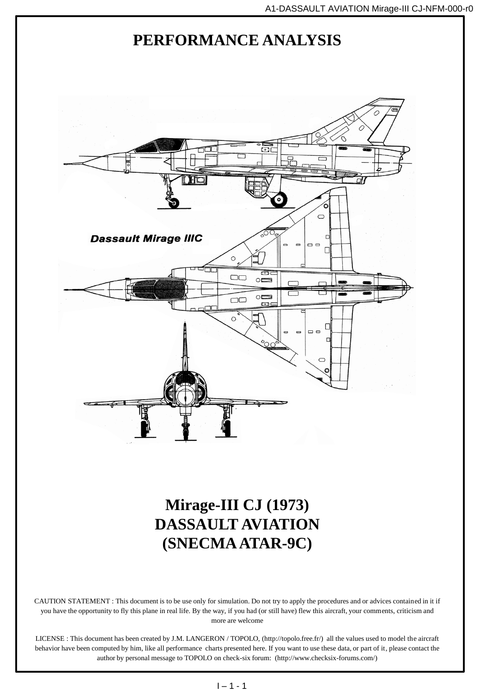

**(SNECMA ATAR-9C)**

CAUTION STATEMENT : This document is to be use only for simulation. Do not try to apply the procedures and or advices contained in it if you have the opportunity to fly this plane in real life. By the way, if you had (or still have) flew this aircraft, your comments, criticism and more are welcome

LICENSE : This document has been created by J.M. LANGERON / TOPOLO, (http://topolo.free.fr/) all the values used to model the aircraft behavior have been computed by him, like all performance charts presented here. If you want to use these data, or part of it, please contact the author by personal message to TOPOLO on check-six forum: (http://www.checksix-forums.com/)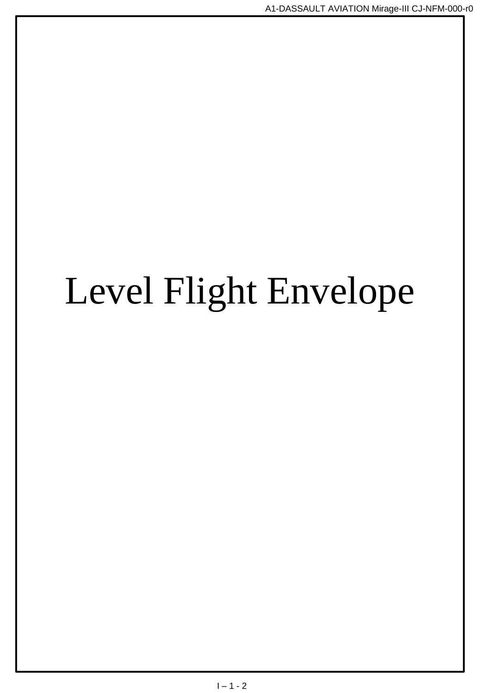# Level Flight Envelope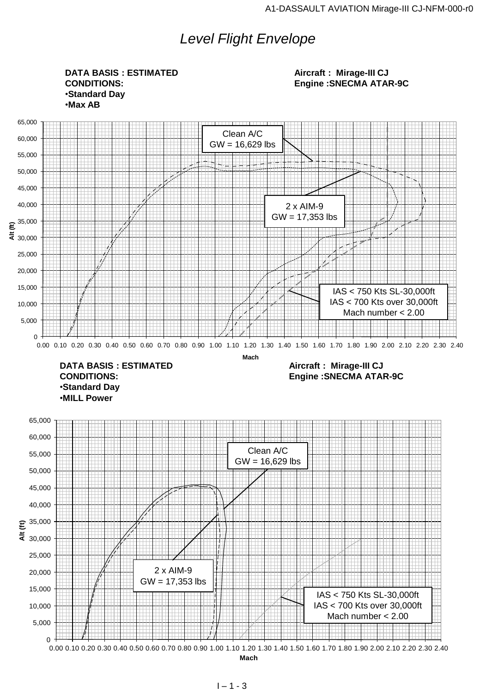# *Level Flight Envelope*

0 5,000 10,000 15,000 20,000 25,000 30,000 35,000 40,000 45,000 50,000 55,000 60,000 65,000  $\frac{25,000}{25,000}$ <br>  $25,000$ <br>  $25,000$ <br>  $25,000$ <br>  $600$ <br>  $10,000$ <br>  $10,000$ <br>  $1000$ <br>  $1000$ <br>  $1000$ <br>  $1000$ <br>  $1000$ <br>  $1000$ <br>  $1000$ <br>  $1000$ <br>  $10000$ <br>  $10000$ <br>  $10000$ <br>  $100000$ <br>  $10000000$ <br>  $100000000$ <br>  $1000000000$ <br>  $10$ **Mach** 0 5,000 10,000 15,000 20,000 25,000 30,000 35,000 40,000 45,000 50,000 55,000 60,000 65,000  $\frac{25,000}{30,000}$ <br>  $\frac{10,000}{10,000}$ <br>  $\frac{1000}{5,000}$ <br>  $\frac{1000}{10000}$ <br>  $\frac{1000}{10000}$ <br>  $\frac{1000}{10000}$ <br>  $\frac{1000}{10000}$ <br>  $\frac{1000}{10000}$ <br>  $\frac{1000}{10000}$ <br>  $\frac{1000}{10000}$ <br>  $\frac{1000}{10000}$ <br>  $\frac{1000}{10000}$ <br> **Mach DATA BASIS : ESTIMATED CONDITIONS:** •**Standard Day** •**Max AB Aircraft : Mirage-III CJ Engine :SNECMA ATAR-9C DATA BASIS : ESTIMATED CONDITIONS:** •**Standard Day** •**MILL Power Aircraft : Mirage-III CJ Engine :SNECMA ATAR-9C** Clean A/C GW = 16,629 lbs 2 x AIM-9 GW = 17,353 lbs IAS < 750 Kts SL-30,000ft IAS < 700 Kts over 30,000ft Mach number < 2.00 Clean A/C GW = 16,629 lbs 2 x AIM-9 GW = 17,353 lbs IAS < 750 Kts SL-30,000ft IAS < 700 Kts over 30,000ft Mach number < 2.00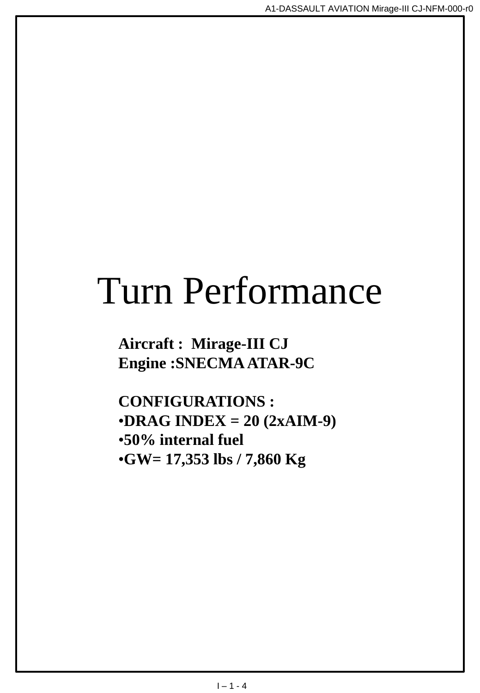# Turn Performance

**Aircraft : Mirage-III CJ Engine :SNECMA ATAR-9C**

**CONFIGURATIONS :** •**DRAG INDEX = 20 (2xAIM-9)** •**50% internal fuel** •**GW= 17,353 lbs / 7,860 Kg**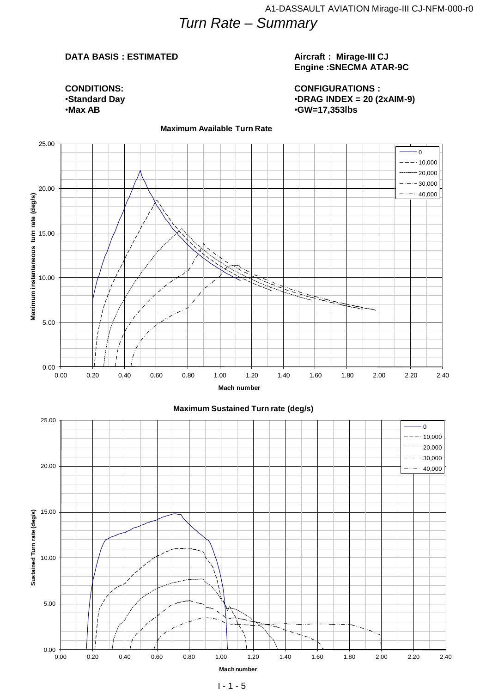# *Turn Rate – Summary*

#### **DATA BASIS : ESTIMATED**

**CONDITIONS:** •**Standard Day** •**Max AB**

#### **Aircraft : Mirage-III CJ Engine :SNECMA ATAR-9C**

**CONFIGURATIONS :** •**DRAG INDEX = 20 (2xAIM-9)** •**GW=17,353lbs**



#### **Maximum Available Turn Rate**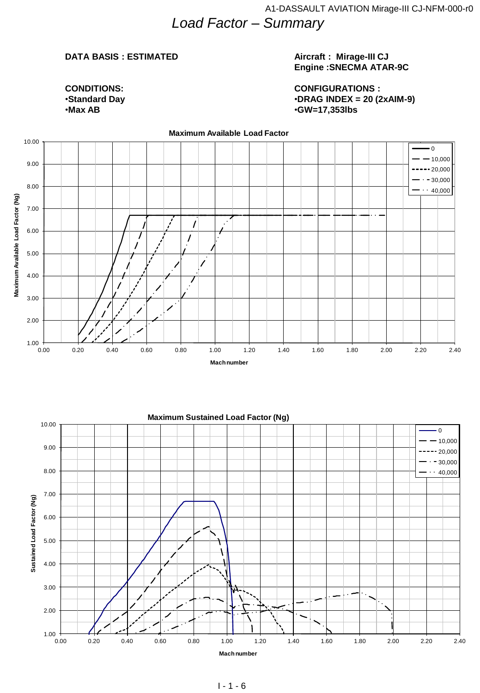## **DATA BASIS : ESTIMATED**

**CONDITIONS:** •**Standard Day** •**Max AB**

#### **Aircraft : Mirage-III CJ Engine :SNECMA ATAR-9C**

**CONFIGURATIONS :** •**DRAG INDEX = 20 (2xAIM-9)** •**GW=17,353lbs**

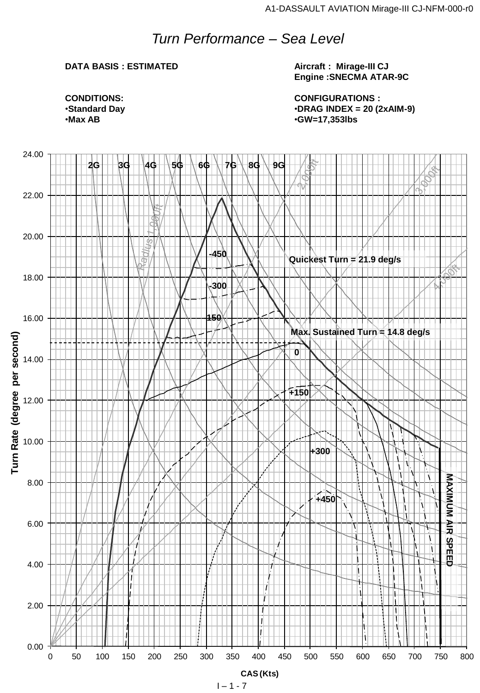# *Turn Performance – Sea Level*

# **DATA BASIS : ESTIMATED**

**Aircraft : Mirage-III CJ Engine :SNECMA ATAR-9C**

**CONFIGURATIONS :** •**DRAG INDEX = 20 (2xAIM-9)** •**GW=17,353lbs**

**CONDITIONS:** •**Standard Day** •**Max AB**

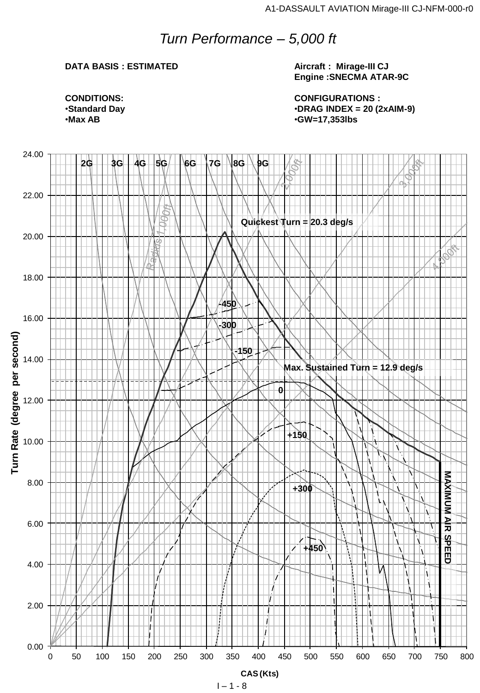# *Turn Performance – 5,000 ft*

### **DATA BASIS : ESTIMATED**

**Aircraft : Mirage-III CJ Engine :SNECMA ATAR-9C**

**CONFIGURATIONS :** •**DRAG INDEX = 20 (2xAIM-9)** •**GW=17,353lbs**

**CONDITIONS:** •**Standard Day** •**Max AB**

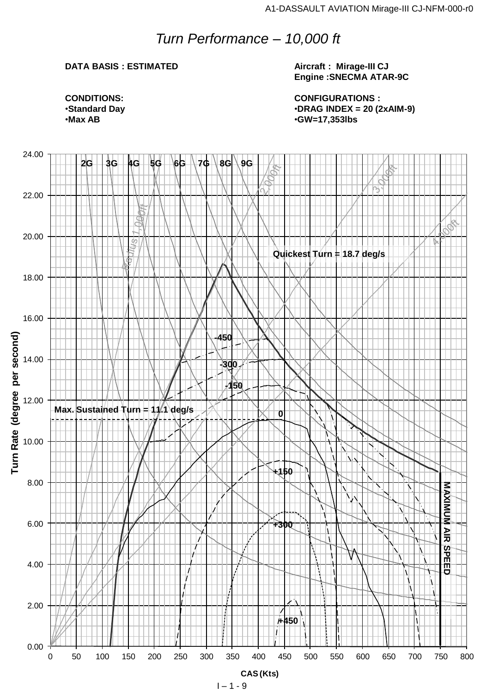# *Turn Performance – 10,000 ft*

### **DATA BASIS : ESTIMATED**

**Aircraft : Mirage-III CJ Engine :SNECMA ATAR-9C**

**CONFIGURATIONS :** •**DRAG INDEX = 20 (2xAIM-9)** •**GW=17,353lbs**

**CONDITIONS:** •**Standard Day** •**Max AB**

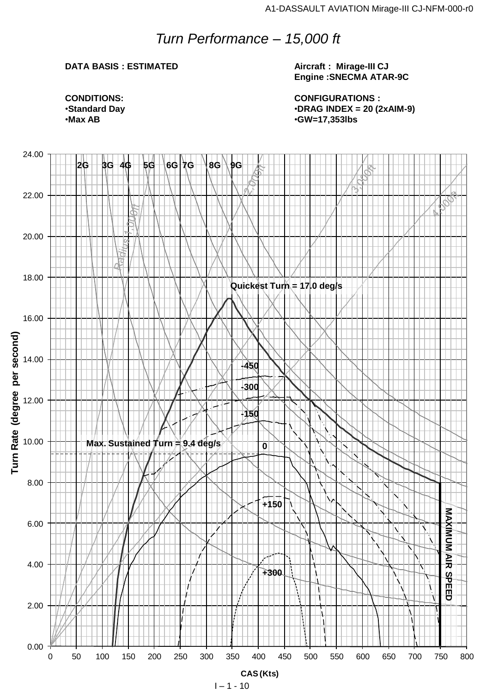# *Turn Performance – 15,000 ft*

# **DATA BASIS : ESTIMATED**

**Aircraft : Mirage-III CJ Engine :SNECMA ATAR-9C**

**CONFIGURATIONS :** •**DRAG INDEX = 20 (2xAIM-9)** •**GW=17,353lbs**



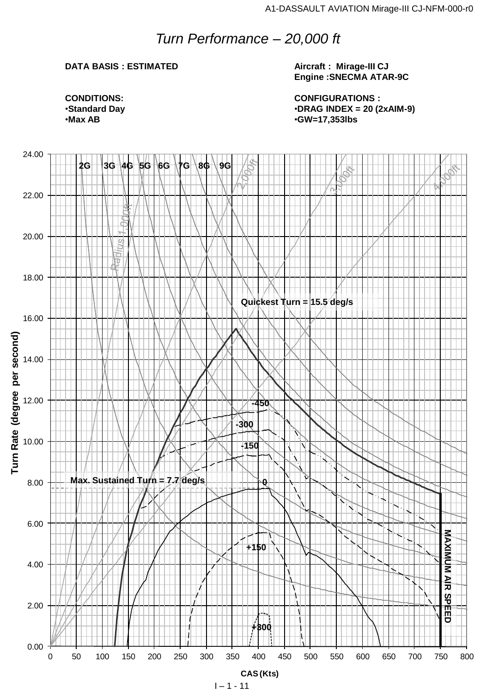# *Turn Performance – 20,000 ft*

## **DATA BASIS : ESTIMATED**

**Aircraft : Mirage-III CJ Engine :SNECMA ATAR-9C**

**CONFIGURATIONS :** •**DRAG INDEX = 20 (2xAIM-9)** •**GW=17,353lbs**

**CONDITIONS:** •**Standard Day** •**Max AB**

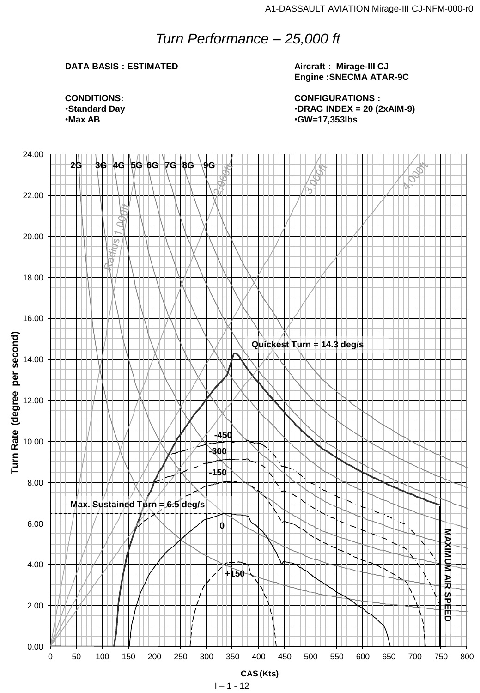# *Turn Performance – 25,000 ft*

# **DATA BASIS : ESTIMATED**

**Aircraft : Mirage-III CJ Engine :SNECMA ATAR-9C**

**CONFIGURATIONS :** •**DRAG INDEX = 20 (2xAIM-9)** •**GW=17,353lbs**

**CONDITIONS:** •**Standard Day** •**Max AB**

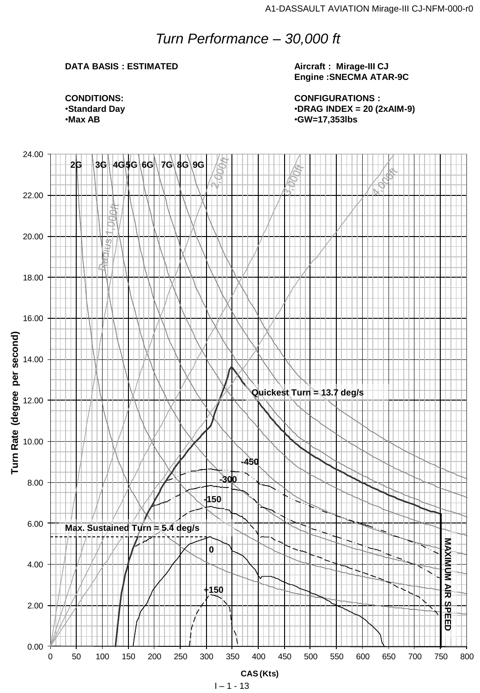# *Turn Performance – 30,000 ft*

# **DATA BASIS : ESTIMATED**

**Aircraft : Mirage-III CJ Engine :SNECMA ATAR-9C**

**CONFIGURATIONS :** •**DRAG INDEX = 20 (2xAIM-9)** •**GW=17,353lbs**

**CONDITIONS:** •**Standard Day** •**Max AB**

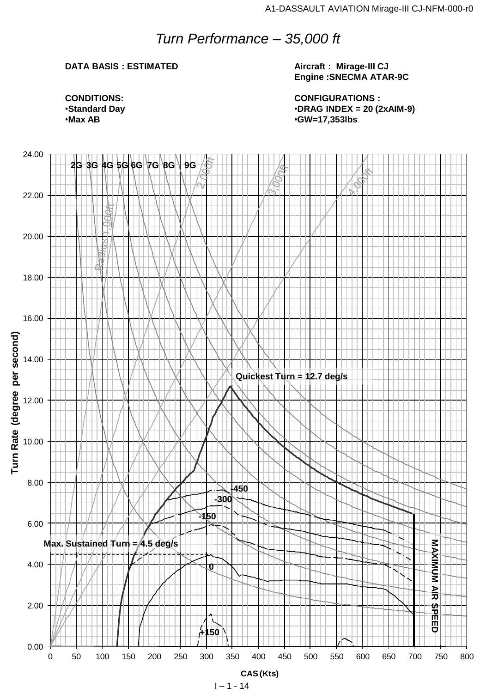# *Turn Performance – 35,000 ft*

## **DATA BASIS : ESTIMATED**

**Aircraft : Mirage-III CJ Engine :SNECMA ATAR-9C**

**CONFIGURATIONS :** •**DRAG INDEX = 20 (2xAIM-9)** •**GW=17,353lbs**

**CONDITIONS:** •**Standard Day** •**Max AB**

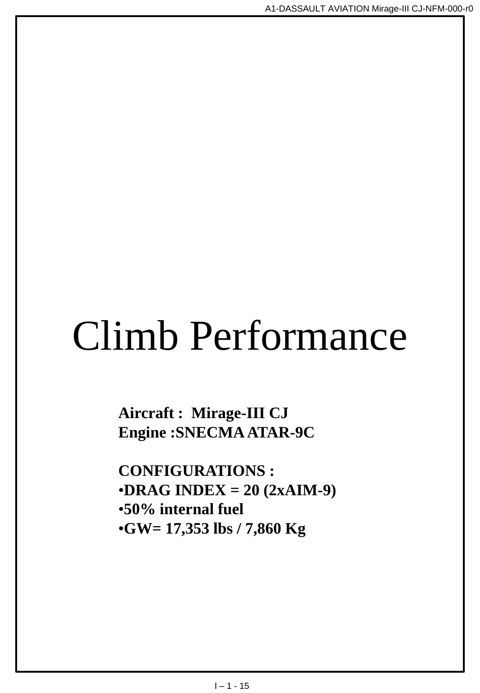# Climb Performance

**Aircraft : Mirage-III CJ Engine :SNECMA ATAR-9C**

**CONFIGURATIONS :** •**DRAG INDEX = 20 (2xAIM-9)** •**50% internal fuel** •**GW= 17,353 lbs / 7,860 Kg**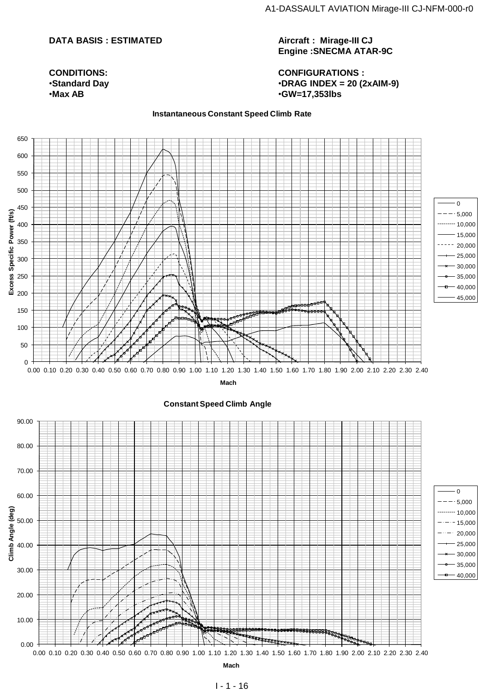## **DATA BASIS : ESTIMATED**

**CONDITIONS:** •**Standard Day** •**Max AB**

**Aircraft : Mirage-III CJ Engine :SNECMA ATAR-9C**

**CONFIGURATIONS :** •**DRAG INDEX = 20 (2xAIM-9)** •**GW=17,353lbs**

#### **Instantaneous Constant Speed Climb Rate**

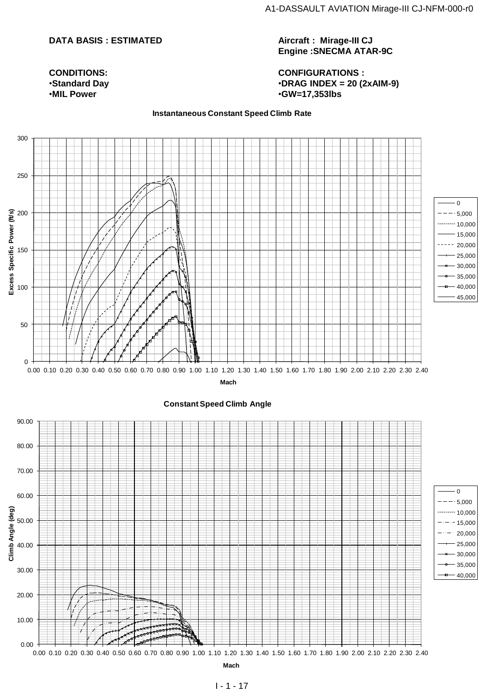## **DATA BASIS : ESTIMATED**

**Aircraft : Mirage-III CJ Engine :SNECMA ATAR-9C**

**CONFIGURATIONS :** •**DRAG INDEX = 20 (2xAIM-9)** •**GW=17,353lbs**

**Instantaneous Constant Speed Climb Rate**



**CONDITIONS:** •**Standard Day** •**MIL Power**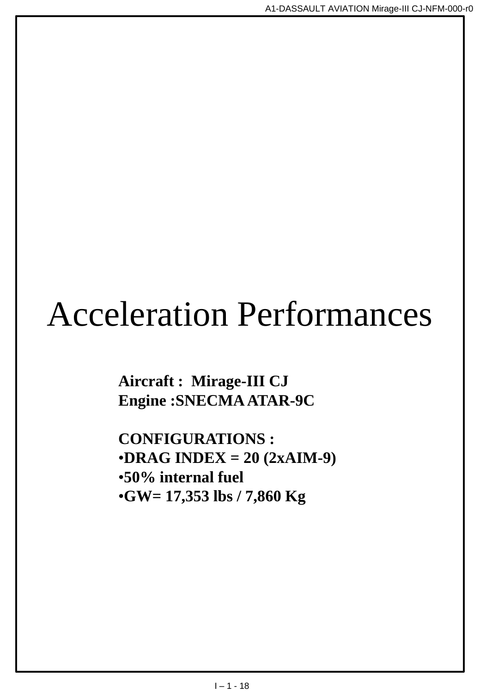# Acceleration Performances

**Aircraft : Mirage-III CJ Engine :SNECMA ATAR-9C**

**CONFIGURATIONS :** •**DRAG INDEX = 20 (2xAIM-9)** •**50% internal fuel** •**GW= 17,353 lbs / 7,860 Kg**